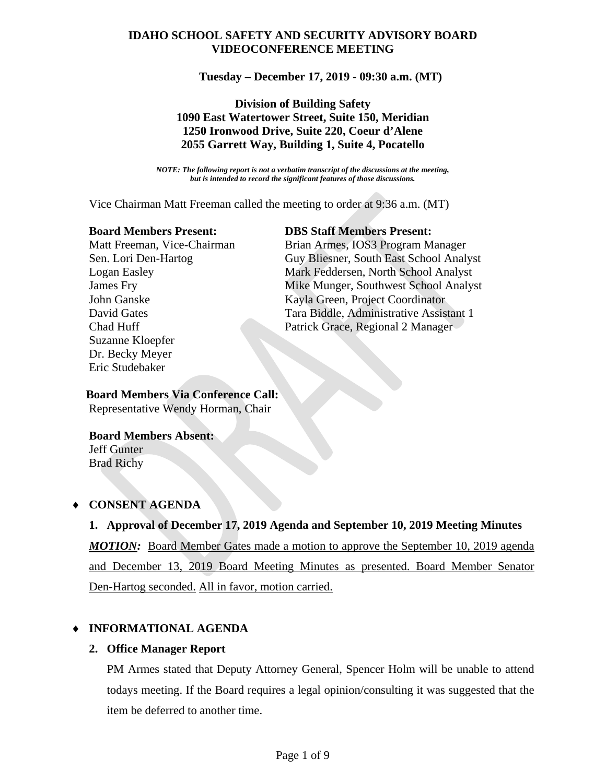# **IDAHO SCHOOL SAFETY AND SECURITY ADVISORY BOARD VIDEOCONFERENCE MEETING**

**Tuesday – December 17, 2019 - 09:30 a.m. (MT)**

## **Division of Building Safety 1090 East Watertower Street, Suite 150, Meridian 1250 Ironwood Drive, Suite 220, Coeur d'Alene 2055 Garrett Way, Building 1, Suite 4, Pocatello**

*NOTE: The following report is not a verbatim transcript of the discussions at the meeting, but is intended to record the significant features of those discussions.*

Vice Chairman Matt Freeman called the meeting to order at 9:36 a.m. (MT)

 Suzanne Kloepfer Dr. Becky Meyer Eric Studebaker

### **Board Members Present: DBS Staff Members Present:**

Matt Freeman, Vice-Chairman Brian Armes, IOS3 Program Manager Sen. Lori Den-Hartog Guy Bliesner, South East School Analyst Logan Easley Mark Feddersen, North School Analyst James Fry Mike Munger, Southwest School Analyst John Ganske Kayla Green, Project Coordinator David Gates Tara Biddle, Administrative Assistant 1 Chad Huff Patrick Grace, Regional 2 Manager

#### **Board Members Via Conference Call:** Representative Wendy Horman, Chair

### **Board Members Absent:** Jeff Gunter Brad Richy

# ♦ **CONSENT AGENDA**

# **1. Approval of December 17, 2019 Agenda and September 10, 2019 Meeting Minutes**

*MOTION:* Board Member Gates made a motion to approve the September 10, 2019 agenda and December 13, 2019 Board Meeting Minutes as presented. Board Member Senator Den-Hartog seconded. All in favor, motion carried.

# ♦ **INFORMATIONAL AGENDA**

### **2. Office Manager Report**

PM Armes stated that Deputy Attorney General, Spencer Holm will be unable to attend todays meeting. If the Board requires a legal opinion/consulting it was suggested that the item be deferred to another time.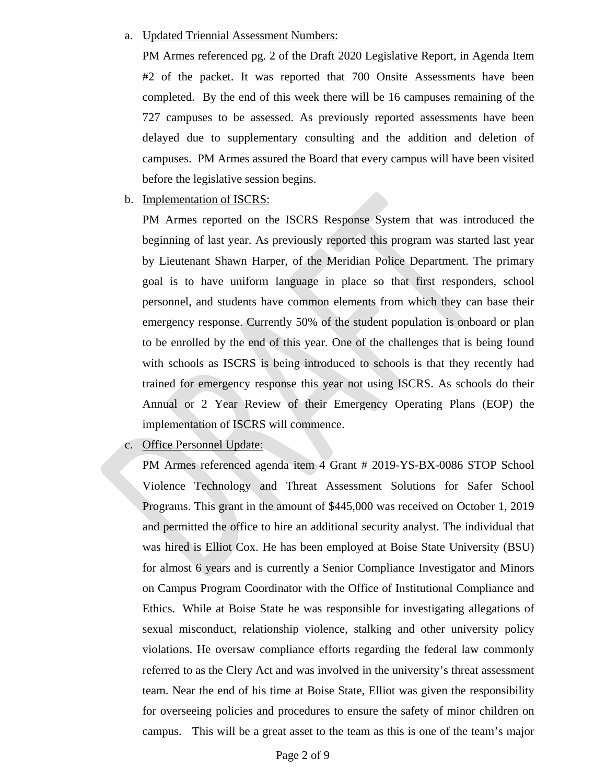#### a. Updated Triennial Assessment Numbers:

PM Armes referenced pg. 2 of the Draft 2020 Legislative Report, in Agenda Item #2 of the packet. It was reported that 700 Onsite Assessments have been completed. By the end of this week there will be 16 campuses remaining of the 727 campuses to be assessed. As previously reported assessments have been delayed due to supplementary consulting and the addition and deletion of campuses. PM Armes assured the Board that every campus will have been visited before the legislative session begins.

b. Implementation of ISCRS:

PM Armes reported on the ISCRS Response System that was introduced the beginning of last year. As previously reported this program was started last year by Lieutenant Shawn Harper, of the Meridian Police Department. The primary goal is to have uniform language in place so that first responders, school personnel, and students have common elements from which they can base their emergency response. Currently 50% of the student population is onboard or plan to be enrolled by the end of this year. One of the challenges that is being found with schools as ISCRS is being introduced to schools is that they recently had trained for emergency response this year not using ISCRS. As schools do their Annual or 2 Year Review of their Emergency Operating Plans (EOP) the implementation of ISCRS will commence.

c. Office Personnel Update:

PM Armes referenced agenda item 4 Grant # 2019-YS-BX-0086 STOP School Violence Technology and Threat Assessment Solutions for Safer School Programs. This grant in the amount of \$445,000 was received on October 1, 2019 and permitted the office to hire an additional security analyst. The individual that was hired is Elliot Cox. He has been employed at Boise State University (BSU) for almost 6 years and is currently a Senior Compliance Investigator and Minors on Campus Program Coordinator with the Office of Institutional Compliance and Ethics. While at Boise State he was responsible for investigating allegations of sexual misconduct, relationship violence, stalking and other university policy violations. He oversaw compliance efforts regarding the federal law commonly referred to as the Clery Act and was involved in the university's threat assessment team. Near the end of his time at Boise State, Elliot was given the responsibility for overseeing policies and procedures to ensure the safety of minor children on campus. This will be a great asset to the team as this is one of the team's major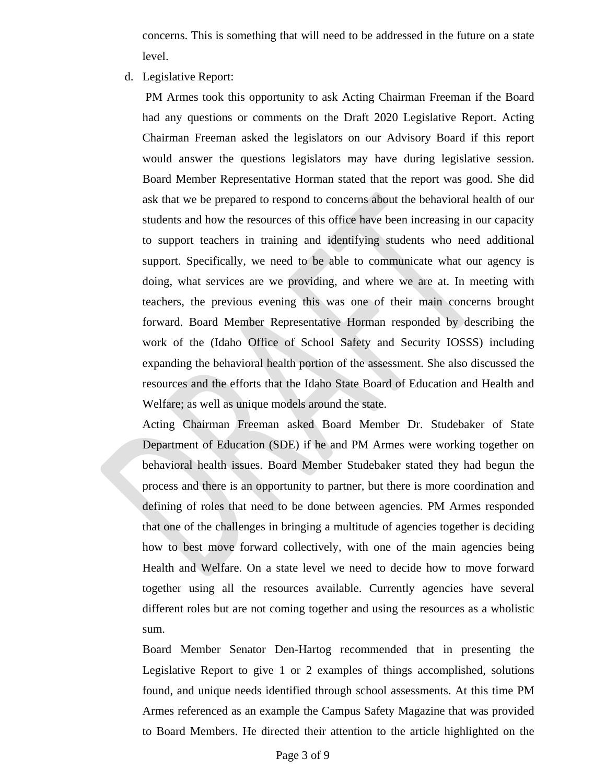concerns. This is something that will need to be addressed in the future on a state level.

d. Legislative Report:

PM Armes took this opportunity to ask Acting Chairman Freeman if the Board had any questions or comments on the Draft 2020 Legislative Report. Acting Chairman Freeman asked the legislators on our Advisory Board if this report would answer the questions legislators may have during legislative session. Board Member Representative Horman stated that the report was good. She did ask that we be prepared to respond to concerns about the behavioral health of our students and how the resources of this office have been increasing in our capacity to support teachers in training and identifying students who need additional support. Specifically, we need to be able to communicate what our agency is doing, what services are we providing, and where we are at. In meeting with teachers, the previous evening this was one of their main concerns brought forward. Board Member Representative Horman responded by describing the work of the (Idaho Office of School Safety and Security IOSSS) including expanding the behavioral health portion of the assessment. She also discussed the resources and the efforts that the Idaho State Board of Education and Health and Welfare; as well as unique models around the state.

Acting Chairman Freeman asked Board Member Dr. Studebaker of State Department of Education (SDE) if he and PM Armes were working together on behavioral health issues. Board Member Studebaker stated they had begun the process and there is an opportunity to partner, but there is more coordination and defining of roles that need to be done between agencies. PM Armes responded that one of the challenges in bringing a multitude of agencies together is deciding how to best move forward collectively, with one of the main agencies being Health and Welfare. On a state level we need to decide how to move forward together using all the resources available. Currently agencies have several different roles but are not coming together and using the resources as a wholistic sum.

Board Member Senator Den-Hartog recommended that in presenting the Legislative Report to give 1 or 2 examples of things accomplished, solutions found, and unique needs identified through school assessments. At this time PM Armes referenced as an example the Campus Safety Magazine that was provided to Board Members. He directed their attention to the article highlighted on the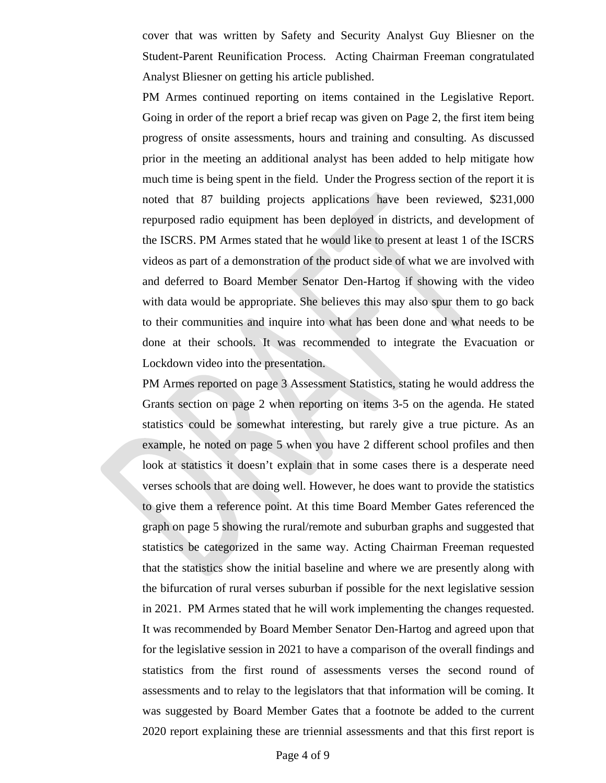cover that was written by Safety and Security Analyst Guy Bliesner on the Student-Parent Reunification Process. Acting Chairman Freeman congratulated Analyst Bliesner on getting his article published.

PM Armes continued reporting on items contained in the Legislative Report. Going in order of the report a brief recap was given on Page 2, the first item being progress of onsite assessments, hours and training and consulting. As discussed prior in the meeting an additional analyst has been added to help mitigate how much time is being spent in the field. Under the Progress section of the report it is noted that 87 building projects applications have been reviewed, \$231,000 repurposed radio equipment has been deployed in districts, and development of the ISCRS. PM Armes stated that he would like to present at least 1 of the ISCRS videos as part of a demonstration of the product side of what we are involved with and deferred to Board Member Senator Den-Hartog if showing with the video with data would be appropriate. She believes this may also spur them to go back to their communities and inquire into what has been done and what needs to be done at their schools. It was recommended to integrate the Evacuation or Lockdown video into the presentation.

PM Armes reported on page 3 Assessment Statistics, stating he would address the Grants section on page 2 when reporting on items 3-5 on the agenda. He stated statistics could be somewhat interesting, but rarely give a true picture. As an example, he noted on page 5 when you have 2 different school profiles and then look at statistics it doesn't explain that in some cases there is a desperate need verses schools that are doing well. However, he does want to provide the statistics to give them a reference point. At this time Board Member Gates referenced the graph on page 5 showing the rural/remote and suburban graphs and suggested that statistics be categorized in the same way. Acting Chairman Freeman requested that the statistics show the initial baseline and where we are presently along with the bifurcation of rural verses suburban if possible for the next legislative session in 2021. PM Armes stated that he will work implementing the changes requested. It was recommended by Board Member Senator Den-Hartog and agreed upon that for the legislative session in 2021 to have a comparison of the overall findings and statistics from the first round of assessments verses the second round of assessments and to relay to the legislators that that information will be coming. It was suggested by Board Member Gates that a footnote be added to the current 2020 report explaining these are triennial assessments and that this first report is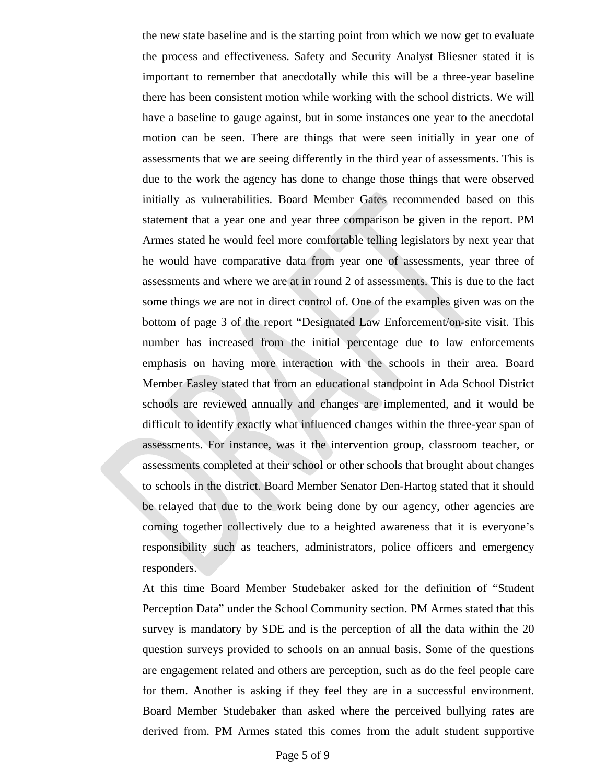the new state baseline and is the starting point from which we now get to evaluate the process and effectiveness. Safety and Security Analyst Bliesner stated it is important to remember that anecdotally while this will be a three-year baseline there has been consistent motion while working with the school districts. We will have a baseline to gauge against, but in some instances one year to the anecdotal motion can be seen. There are things that were seen initially in year one of assessments that we are seeing differently in the third year of assessments. This is due to the work the agency has done to change those things that were observed initially as vulnerabilities. Board Member Gates recommended based on this statement that a year one and year three comparison be given in the report. PM Armes stated he would feel more comfortable telling legislators by next year that he would have comparative data from year one of assessments, year three of assessments and where we are at in round 2 of assessments. This is due to the fact some things we are not in direct control of. One of the examples given was on the bottom of page 3 of the report "Designated Law Enforcement/on-site visit. This number has increased from the initial percentage due to law enforcements emphasis on having more interaction with the schools in their area. Board Member Easley stated that from an educational standpoint in Ada School District schools are reviewed annually and changes are implemented, and it would be difficult to identify exactly what influenced changes within the three-year span of assessments. For instance, was it the intervention group, classroom teacher, or assessments completed at their school or other schools that brought about changes to schools in the district. Board Member Senator Den-Hartog stated that it should be relayed that due to the work being done by our agency, other agencies are coming together collectively due to a heighted awareness that it is everyone's responsibility such as teachers, administrators, police officers and emergency responders.

At this time Board Member Studebaker asked for the definition of "Student Perception Data" under the School Community section. PM Armes stated that this survey is mandatory by SDE and is the perception of all the data within the 20 question surveys provided to schools on an annual basis. Some of the questions are engagement related and others are perception, such as do the feel people care for them. Another is asking if they feel they are in a successful environment. Board Member Studebaker than asked where the perceived bullying rates are derived from. PM Armes stated this comes from the adult student supportive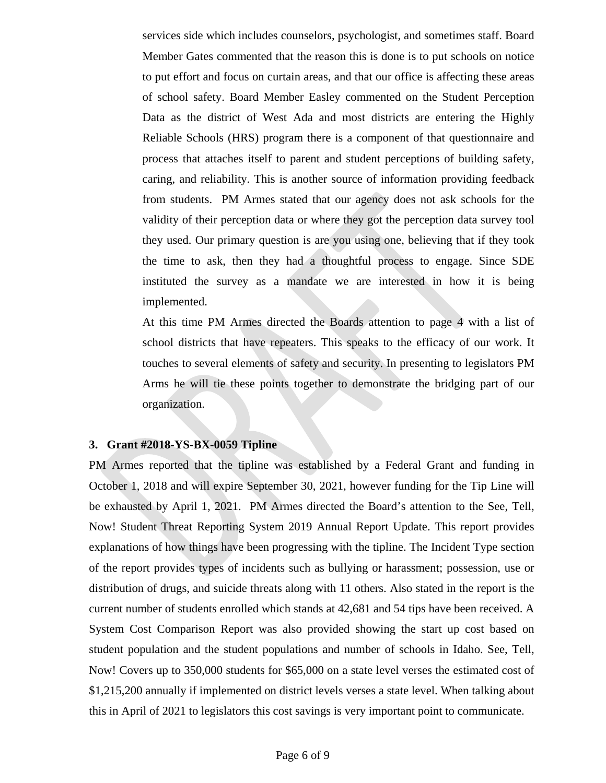services side which includes counselors, psychologist, and sometimes staff. Board Member Gates commented that the reason this is done is to put schools on notice to put effort and focus on curtain areas, and that our office is affecting these areas of school safety. Board Member Easley commented on the Student Perception Data as the district of West Ada and most districts are entering the Highly Reliable Schools (HRS) program there is a component of that questionnaire and process that attaches itself to parent and student perceptions of building safety, caring, and reliability. This is another source of information providing feedback from students. PM Armes stated that our agency does not ask schools for the validity of their perception data or where they got the perception data survey tool they used. Our primary question is are you using one, believing that if they took the time to ask, then they had a thoughtful process to engage. Since SDE instituted the survey as a mandate we are interested in how it is being implemented.

At this time PM Armes directed the Boards attention to page 4 with a list of school districts that have repeaters. This speaks to the efficacy of our work. It touches to several elements of safety and security. In presenting to legislators PM Arms he will tie these points together to demonstrate the bridging part of our organization.

#### **3. Grant #2018-YS-BX-0059 Tipline**

PM Armes reported that the tipline was established by a Federal Grant and funding in October 1, 2018 and will expire September 30, 2021, however funding for the Tip Line will be exhausted by April 1, 2021. PM Armes directed the Board's attention to the See, Tell, Now! Student Threat Reporting System 2019 Annual Report Update. This report provides explanations of how things have been progressing with the tipline. The Incident Type section of the report provides types of incidents such as bullying or harassment; possession, use or distribution of drugs, and suicide threats along with 11 others. Also stated in the report is the current number of students enrolled which stands at 42,681 and 54 tips have been received. A System Cost Comparison Report was also provided showing the start up cost based on student population and the student populations and number of schools in Idaho. See, Tell, Now! Covers up to 350,000 students for \$65,000 on a state level verses the estimated cost of \$1,215,200 annually if implemented on district levels verses a state level. When talking about this in April of 2021 to legislators this cost savings is very important point to communicate.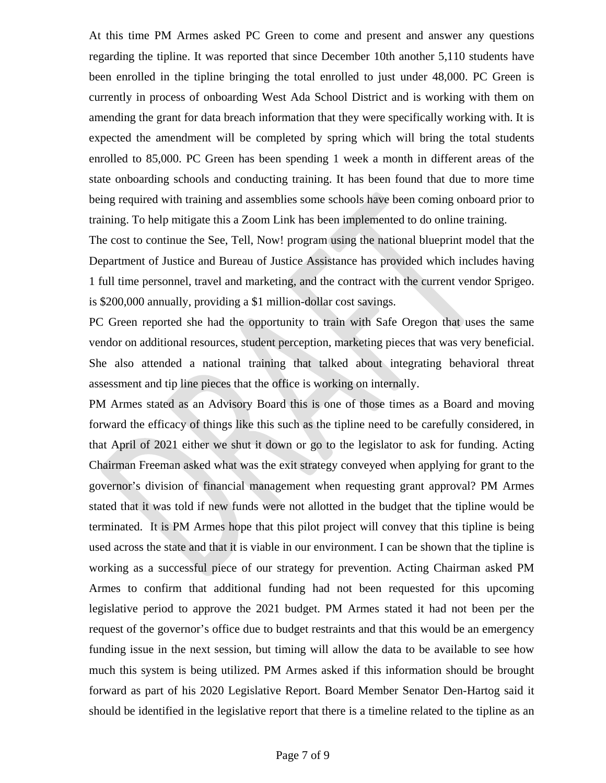At this time PM Armes asked PC Green to come and present and answer any questions regarding the tipline. It was reported that since December 10th another 5,110 students have been enrolled in the tipline bringing the total enrolled to just under 48,000. PC Green is currently in process of onboarding West Ada School District and is working with them on amending the grant for data breach information that they were specifically working with. It is expected the amendment will be completed by spring which will bring the total students enrolled to 85,000. PC Green has been spending 1 week a month in different areas of the state onboarding schools and conducting training. It has been found that due to more time being required with training and assemblies some schools have been coming onboard prior to training. To help mitigate this a Zoom Link has been implemented to do online training.

The cost to continue the See, Tell, Now! program using the national blueprint model that the Department of Justice and Bureau of Justice Assistance has provided which includes having 1 full time personnel, travel and marketing, and the contract with the current vendor Sprigeo. is \$200,000 annually, providing a \$1 million-dollar cost savings.

PC Green reported she had the opportunity to train with Safe Oregon that uses the same vendor on additional resources, student perception, marketing pieces that was very beneficial. She also attended a national training that talked about integrating behavioral threat assessment and tip line pieces that the office is working on internally.

PM Armes stated as an Advisory Board this is one of those times as a Board and moving forward the efficacy of things like this such as the tipline need to be carefully considered, in that April of 2021 either we shut it down or go to the legislator to ask for funding. Acting Chairman Freeman asked what was the exit strategy conveyed when applying for grant to the governor's division of financial management when requesting grant approval? PM Armes stated that it was told if new funds were not allotted in the budget that the tipline would be terminated. It is PM Armes hope that this pilot project will convey that this tipline is being used across the state and that it is viable in our environment. I can be shown that the tipline is working as a successful piece of our strategy for prevention. Acting Chairman asked PM Armes to confirm that additional funding had not been requested for this upcoming legislative period to approve the 2021 budget. PM Armes stated it had not been per the request of the governor's office due to budget restraints and that this would be an emergency funding issue in the next session, but timing will allow the data to be available to see how much this system is being utilized. PM Armes asked if this information should be brought forward as part of his 2020 Legislative Report. Board Member Senator Den-Hartog said it should be identified in the legislative report that there is a timeline related to the tipline as an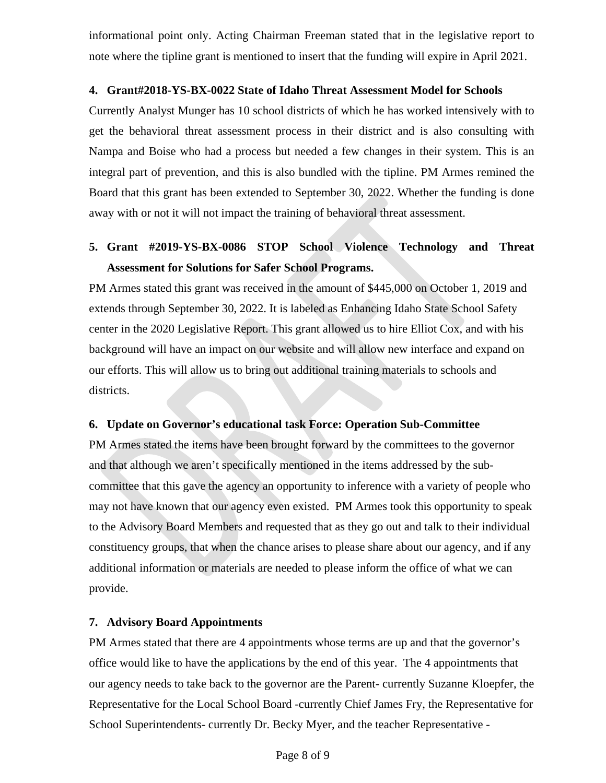informational point only. Acting Chairman Freeman stated that in the legislative report to note where the tipline grant is mentioned to insert that the funding will expire in April 2021.

## **4. Grant#2018-YS-BX-0022 State of Idaho Threat Assessment Model for Schools**

Currently Analyst Munger has 10 school districts of which he has worked intensively with to get the behavioral threat assessment process in their district and is also consulting with Nampa and Boise who had a process but needed a few changes in their system. This is an integral part of prevention, and this is also bundled with the tipline. PM Armes remined the Board that this grant has been extended to September 30, 2022. Whether the funding is done away with or not it will not impact the training of behavioral threat assessment.

# **5. Grant #2019-YS-BX-0086 STOP School Violence Technology and Threat Assessment for Solutions for Safer School Programs.**

PM Armes stated this grant was received in the amount of \$445,000 on October 1, 2019 and extends through September 30, 2022. It is labeled as Enhancing Idaho State School Safety center in the 2020 Legislative Report. This grant allowed us to hire Elliot Cox, and with his background will have an impact on our website and will allow new interface and expand on our efforts. This will allow us to bring out additional training materials to schools and districts.

# **6. Update on Governor's educational task Force: Operation Sub-Committee**

PM Armes stated the items have been brought forward by the committees to the governor and that although we aren't specifically mentioned in the items addressed by the subcommittee that this gave the agency an opportunity to inference with a variety of people who may not have known that our agency even existed. PM Armes took this opportunity to speak to the Advisory Board Members and requested that as they go out and talk to their individual constituency groups, that when the chance arises to please share about our agency, and if any additional information or materials are needed to please inform the office of what we can provide.

# **7. Advisory Board Appointments**

PM Armes stated that there are 4 appointments whose terms are up and that the governor's office would like to have the applications by the end of this year. The 4 appointments that our agency needs to take back to the governor are the Parent- currently Suzanne Kloepfer, the Representative for the Local School Board -currently Chief James Fry, the Representative for School Superintendents- currently Dr. Becky Myer, and the teacher Representative -